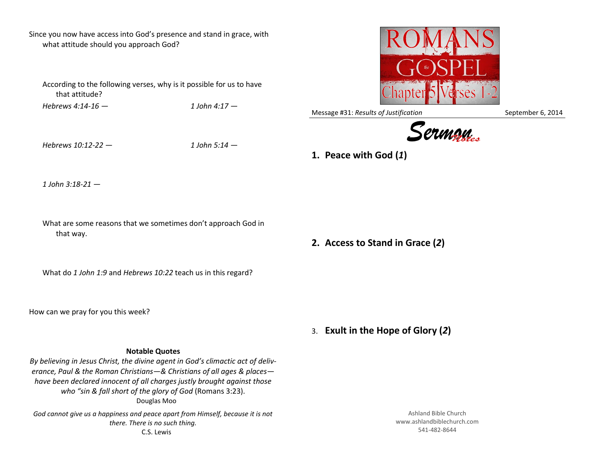Since you now have access into God's presence and stand in grace, with what attitude should you approach God?

According to the following verses, why is it possible for us to have that attitude? *Hebrews 4:14-16 — 1 John 4:17 —*

*Hebrews 10:12-22 — 1 John 5:14 —*

**1. Peace with God (***1***)**

*1 John 3:18-21 —*

What are some reasons that we sometimes don't approach God in that way.

What do *1 John 1:9* and *Hebrews 10:22* teach us in this regard?

How can we pray for you this week?

Ashland Bible Church www.ashlandbiblechurch.com 541-482-8644

## **Notable Quotes**

*By believing in Jesus Christ, the divine agent in God's climactic act of deliverance, Paul & the Roman Christians—& Christians of all ages & places have been declared innocent of all charges justly brought against those who "sin & fall short of the glory of God* (Romans 3:23). Douglas Moo

*God cannot give us a happiness and peace apart from Himself, because it is not there. There is no such thing.*



Message #31: *Results of Justification* September 6, 2014





**2. Access to Stand in Grace (***2***)**

3. **Exult in the Hope of Glory (***2***)**